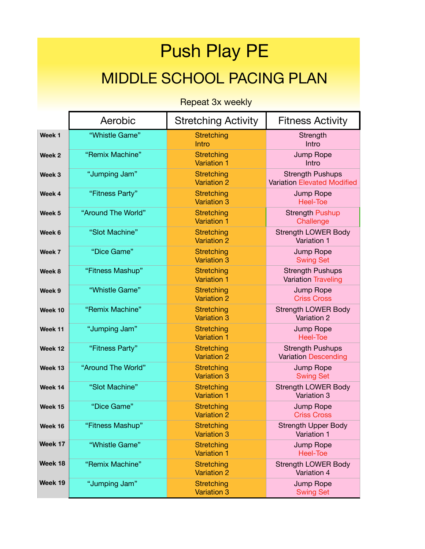## Push Play PE MIDDLE SCHOOL PACING PLAN

Repeat 3x weekly

|                   | Aerobic            | <b>Stretching Activity</b>              | <b>Fitness Activity</b>                                       |
|-------------------|--------------------|-----------------------------------------|---------------------------------------------------------------|
| Week <sub>1</sub> | "Whistle Game"     | Stretching<br>Intro                     | Strength<br>Intro                                             |
| Week 2            | "Remix Machine"    | Stretching<br>Variation 1               | Jump Rope<br>Intro                                            |
| Week 3            | "Jumping Jam"      | <b>Stretching</b><br><b>Variation 2</b> | <b>Strength Pushups</b><br><b>Variation Elevated Modified</b> |
| Week 4            | "Fitness Party"    | Stretching<br><b>Variation 3</b>        | Jump Rope<br><b>Heel-Toe</b>                                  |
| Week 5            | "Around The World" | Stretching<br><b>Variation 1</b>        | <b>Strength Pushup</b><br>Challenge                           |
| Week 6            | "Slot Machine"     | Stretching<br><b>Variation 2</b>        | <b>Strength LOWER Body</b><br>Variation 1                     |
| Week 7            | "Dice Game"        | Stretching<br><b>Variation 3</b>        | Jump Rope<br><b>Swing Set</b>                                 |
| Week 8            | "Fitness Mashup"   | Stretching<br><b>Variation 1</b>        | <b>Strength Pushups</b><br><b>Variation Traveling</b>         |
| Week 9            | "Whistle Game"     | <b>Stretching</b><br><b>Variation 2</b> | Jump Rope<br><b>Criss Cross</b>                               |
| Week 10           | "Remix Machine"    | Stretching<br><b>Variation 3</b>        | <b>Strength LOWER Body</b><br>Variation 2                     |
| Week 11           | "Jumping Jam"      | Stretching<br><b>Variation 1</b>        | Jump Rope<br><b>Heel-Toe</b>                                  |
| Week 12           | "Fitness Party"    | <b>Stretching</b><br><b>Variation 2</b> | <b>Strength Pushups</b><br><b>Variation Descending</b>        |
| Week 13           | "Around The World" | Stretching<br><b>Variation 3</b>        | Jump Rope<br><b>Swing Set</b>                                 |
| Week 14           | "Slot Machine"     | Stretching<br><b>Variation 1</b>        | <b>Strength LOWER Body</b><br>Variation 3                     |
| Week 15           | "Dice Game"        | Stretching<br><b>Variation 2</b>        | Jump Rope<br><b>Criss Cross</b>                               |
| Week 16           | "Fitness Mashup"   | Stretching<br><b>Variation 3</b>        | <b>Strength Upper Body</b><br>Variation 1                     |
| Week 17           | "Whistle Game"     | Stretching<br><b>Variation 1</b>        | Jump Rope<br><b>Heel-Toe</b>                                  |
| Week 18           | "Remix Machine"    | <b>Stretching</b><br><b>Variation 2</b> | <b>Strength LOWER Body</b><br>Variation 4                     |
| Week 19           | "Jumping Jam"      | Stretching<br><b>Variation 3</b>        | Jump Rope<br><b>Swing Set</b>                                 |